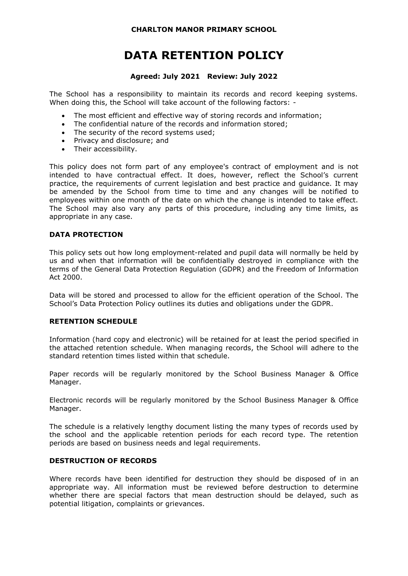# **DATA RETENTION POLICY**

#### **Agreed: July 2021 Review: July 2022**

The School has a responsibility to maintain its records and record keeping systems. When doing this, the School will take account of the following factors: -

- The most efficient and effective way of storing records and information;
- The confidential nature of the records and information stored:
- The security of the record systems used:
- Privacy and disclosure; and
- Their accessibility.

This policy does not form part of any employee's contract of employment and is not intended to have contractual effect. It does, however, reflect the School's current practice, the requirements of current legislation and best practice and guidance. It may be amended by the School from time to time and any changes will be notified to employees within one month of the date on which the change is intended to take effect. The School may also vary any parts of this procedure, including any time limits, as appropriate in any case.

#### **DATA PROTECTION**

This policy sets out how long employment-related and pupil data will normally be held by us and when that information will be confidentially destroyed in compliance with the terms of the General Data Protection Regulation (GDPR) and the Freedom of Information Act 2000.

Data will be stored and processed to allow for the efficient operation of the School. The School's Data Protection Policy outlines its duties and obligations under the GDPR.

#### **RETENTION SCHEDULE**

Information (hard copy and electronic) will be retained for at least the period specified in the attached retention schedule. When managing records, the School will adhere to the standard retention times listed within that schedule.

Paper records will be regularly monitored by the School Business Manager & Office Manager.

Electronic records will be regularly monitored by the School Business Manager & Office Manager.

The schedule is a relatively lengthy document listing the many types of records used by the school and the applicable retention periods for each record type. The retention periods are based on business needs and legal requirements.

#### **DESTRUCTION OF RECORDS**

Where records have been identified for destruction they should be disposed of in an appropriate way. All information must be reviewed before destruction to determine whether there are special factors that mean destruction should be delayed, such as potential litigation, complaints or grievances.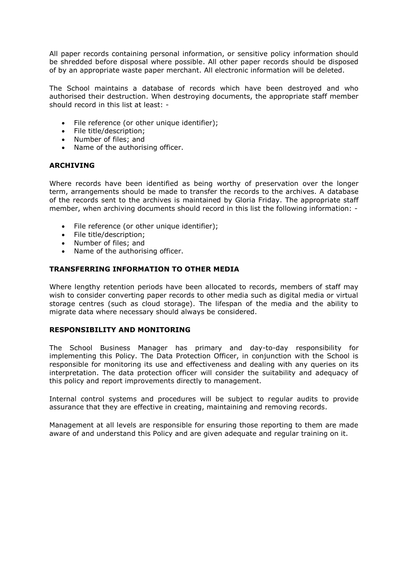All paper records containing personal information, or sensitive policy information should be shredded before disposal where possible. All other paper records should be disposed of by an appropriate waste paper merchant. All electronic information will be deleted.

The School maintains a database of records which have been destroyed and who authorised their destruction. When destroying documents, the appropriate staff member should record in this list at least: -

- File reference (or other unique identifier);
- File title/description;
- Number of files; and
- Name of the authorising officer.

#### **ARCHIVING**

Where records have been identified as being worthy of preservation over the longer term, arrangements should be made to transfer the records to the archives. A database of the records sent to the archives is maintained by Gloria Friday. The appropriate staff member, when archiving documents should record in this list the following information: -

- File reference (or other unique identifier);
- File title/description;
- Number of files; and
- Name of the authorising officer.

#### **TRANSFERRING INFORMATION TO OTHER MEDIA**

Where lengthy retention periods have been allocated to records, members of staff may wish to consider converting paper records to other media such as digital media or virtual storage centres (such as cloud storage). The lifespan of the media and the ability to migrate data where necessary should always be considered.

#### **RESPONSIBILITY AND MONITORING**

The School Business Manager has primary and day-to-day responsibility for implementing this Policy. The Data Protection Officer, in conjunction with the School is responsible for monitoring its use and effectiveness and dealing with any queries on its interpretation. The data protection officer will consider the suitability and adequacy of this policy and report improvements directly to management.

Internal control systems and procedures will be subject to regular audits to provide assurance that they are effective in creating, maintaining and removing records.

Management at all levels are responsible for ensuring those reporting to them are made aware of and understand this Policy and are given adequate and regular training on it.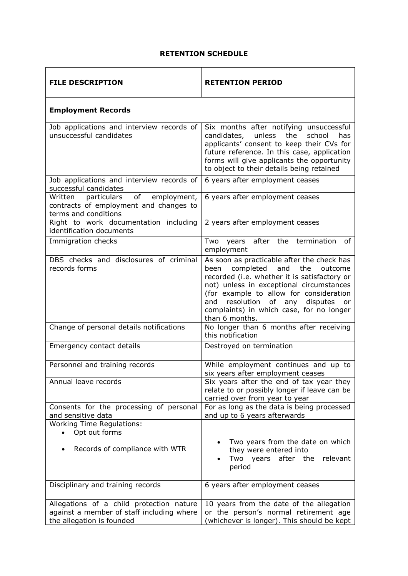### **RETENTION SCHEDULE**

| <b>FILE DESCRIPTION</b>                                                                                            | <b>RETENTION PERIOD</b>                                                                                                                                                                                                                                                                                                                        |
|--------------------------------------------------------------------------------------------------------------------|------------------------------------------------------------------------------------------------------------------------------------------------------------------------------------------------------------------------------------------------------------------------------------------------------------------------------------------------|
| <b>Employment Records</b>                                                                                          |                                                                                                                                                                                                                                                                                                                                                |
| Job applications and interview records of<br>unsuccessful candidates                                               | Six months after notifying unsuccessful<br>school<br>candidates,<br>unless<br>the<br>has<br>applicants' consent to keep their CVs for<br>future reference. In this case, application<br>forms will give applicants the opportunity<br>to object to their details being retained                                                                |
| Job applications and interview records of<br>successful candidates                                                 | 6 years after employment ceases                                                                                                                                                                                                                                                                                                                |
| of<br>Written<br>particulars<br>employment,<br>contracts of employment and changes to<br>terms and conditions      | 6 years after employment ceases                                                                                                                                                                                                                                                                                                                |
| Right to work documentation including<br>identification documents                                                  | 2 years after employment ceases                                                                                                                                                                                                                                                                                                                |
| Immigration checks                                                                                                 | after the termination<br>Two<br>years<br>οf<br>employment                                                                                                                                                                                                                                                                                      |
| DBS checks and disclosures of criminal<br>records forms                                                            | As soon as practicable after the check has<br>completed<br>the<br>and<br>outcome<br>been<br>recorded (i.e. whether it is satisfactory or<br>not) unless in exceptional circumstances<br>(for example to allow for consideration<br>resolution<br>of any<br>disputes<br>and<br>or<br>complaints) in which case, for no longer<br>than 6 months. |
| Change of personal details notifications                                                                           | No longer than 6 months after receiving<br>this notification                                                                                                                                                                                                                                                                                   |
| Emergency contact details                                                                                          | Destroyed on termination                                                                                                                                                                                                                                                                                                                       |
| Personnel and training records                                                                                     | While employment continues and up to<br>six years after employment ceases                                                                                                                                                                                                                                                                      |
| Annual leave records                                                                                               | Six years after the end of tax year they<br>relate to or possibly longer if leave can be<br>carried over from year to year                                                                                                                                                                                                                     |
| Consents for the processing of personal<br>and sensitive data                                                      | For as long as the data is being processed<br>and up to 6 years afterwards                                                                                                                                                                                                                                                                     |
| <b>Working Time Regulations:</b><br>Opt out forms<br>Records of compliance with WTR                                | Two years from the date on which<br>they were entered into<br>Two years after the relevant<br>period                                                                                                                                                                                                                                           |
| Disciplinary and training records                                                                                  | 6 years after employment ceases                                                                                                                                                                                                                                                                                                                |
| Allegations of a child protection nature<br>against a member of staff including where<br>the allegation is founded | 10 years from the date of the allegation<br>or the person's normal retirement age<br>(whichever is longer). This should be kept                                                                                                                                                                                                                |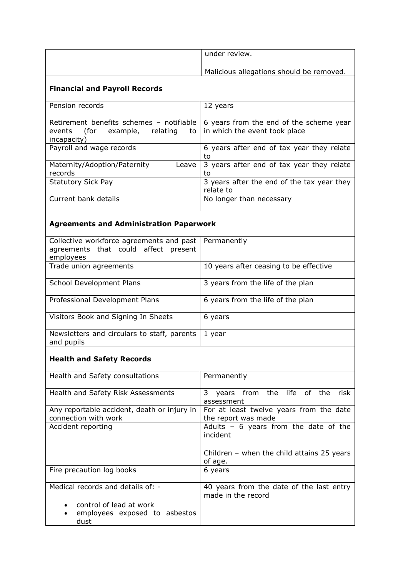| under review.                            |
|------------------------------------------|
| Malicious allegations should be removed. |

### **Financial and Payroll Records**

| Pension records                                                                                        | 12 years                                                                 |
|--------------------------------------------------------------------------------------------------------|--------------------------------------------------------------------------|
| Retirement benefits schemes - notifiable<br>example, relating<br>(for<br>to l<br>events<br>incapacity) | 6 years from the end of the scheme year<br>in which the event took place |
| Payroll and wage records                                                                               | 6 years after end of tax year they relate<br>to                          |
| Maternity/Adoption/Paternity<br>Leave<br>records                                                       | 3 years after end of tax year they relate<br>to                          |
| <b>Statutory Sick Pay</b>                                                                              | 3 years after the end of the tax year they<br>relate to                  |
| Current bank details                                                                                   | No longer than necessary                                                 |

# **Agreements and Administration Paperwork**

| Collective workforce agreements and past<br>agreements that could affect present<br>employees | Permanently                            |
|-----------------------------------------------------------------------------------------------|----------------------------------------|
| Trade union agreements                                                                        | 10 years after ceasing to be effective |
| School Development Plans                                                                      | 3 years from the life of the plan      |
| Professional Development Plans                                                                | 6 years from the life of the plan      |
| Visitors Book and Signing In Sheets                                                           | 6 years                                |
| Newsletters and circulars to staff, parents<br>and pupils                                     | 1 year                                 |

# **Health and Safety Records**

| Health and Safety consultations                                     | Permanently                                                    |
|---------------------------------------------------------------------|----------------------------------------------------------------|
| Health and Safety Risk Assessments                                  | years from the life of the<br>3<br>risk<br>assessment          |
| Any reportable accident, death or injury in<br>connection with work | For at least twelve years from the date<br>the report was made |
| Accident reporting                                                  | Adults - 6 years from the date of the<br>incident              |
|                                                                     | Children – when the child attains $25$ years<br>of age.        |
| Fire precaution log books                                           | 6 years                                                        |
| Medical records and details of: -                                   | 40 years from the date of the last entry<br>made in the record |
| control of lead at work<br>employees exposed to asbestos<br>dust    |                                                                |